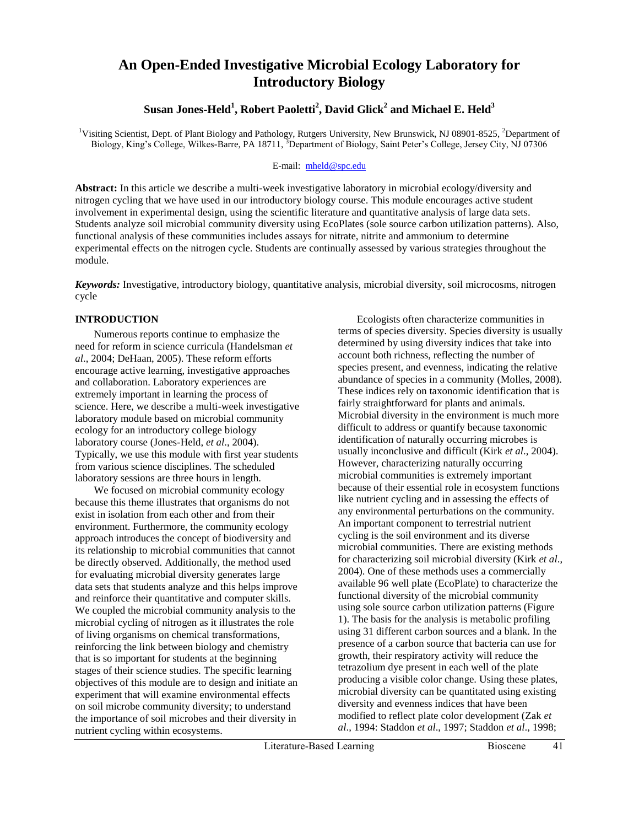# **An Open-Ended Investigative Microbial Ecology Laboratory for Introductory Biology**

# **Susan Jones-Held<sup>1</sup> , Robert Paoletti<sup>2</sup> , David Glick<sup>2</sup> and Michael E. Held<sup>3</sup>**

<sup>1</sup>Visiting Scientist, Dept. of Plant Biology and Pathology, Rutgers University, New Brunswick, NJ 08901-8525, <sup>2</sup>Department of Biology, King's College, Wilkes-Barre, PA 18711, <sup>3</sup>Department of Biology, Saint Peter's College, Jersey City, NJ 07306

# E-mail: [mheld@spc.edu](mailto:mheld@spc.edu)

**Abstract:** In this article we describe a multi-week investigative laboratory in microbial ecology/diversity and nitrogen cycling that we have used in our introductory biology course. This module encourages active student involvement in experimental design, using the scientific literature and quantitative analysis of large data sets. Students analyze soil microbial community diversity using EcoPlates (sole source carbon utilization patterns). Also, functional analysis of these communities includes assays for nitrate, nitrite and ammonium to determine experimental effects on the nitrogen cycle. Students are continually assessed by various strategies throughout the module.

*Keywords:* Investigative, introductory biology, quantitative analysis, microbial diversity, soil microcosms, nitrogen cycle

# **INTRODUCTION**

Numerous reports continue to emphasize the need for reform in science curricula (Handelsman *et al*., 2004; DeHaan, 2005). These reform efforts encourage active learning, investigative approaches and collaboration. Laboratory experiences are extremely important in learning the process of science. Here, we describe a multi-week investigative laboratory module based on microbial community ecology for an introductory college biology laboratory course (Jones-Held, *et al*., 2004). Typically, we use this module with first year students from various science disciplines. The scheduled laboratory sessions are three hours in length.

We focused on microbial community ecology because this theme illustrates that organisms do not exist in isolation from each other and from their environment. Furthermore, the community ecology approach introduces the concept of biodiversity and its relationship to microbial communities that cannot be directly observed. Additionally, the method used for evaluating microbial diversity generates large data sets that students analyze and this helps improve and reinforce their quantitative and computer skills. We coupled the microbial community analysis to the microbial cycling of nitrogen as it illustrates the role of living organisms on chemical transformations, reinforcing the link between biology and chemistry that is so important for students at the beginning stages of their science studies. The specific learning objectives of this module are to design and initiate an experiment that will examine environmental effects on soil microbe community diversity; to understand the importance of soil microbes and their diversity in nutrient cycling within ecosystems.

Ecologists often characterize communities in terms of species diversity. Species diversity is usually determined by using diversity indices that take into account both richness, reflecting the number of species present, and evenness, indicating the relative abundance of species in a community (Molles, 2008). These indices rely on taxonomic identification that is fairly straightforward for plants and animals. Microbial diversity in the environment is much more difficult to address or quantify because taxonomic identification of naturally occurring microbes is usually inconclusive and difficult (Kirk *et al*., 2004). However, characterizing naturally occurring microbial communities is extremely important because of their essential role in ecosystem functions like nutrient cycling and in assessing the effects of any environmental perturbations on the community. An important component to terrestrial nutrient cycling is the soil environment and its diverse microbial communities. There are existing methods for characterizing soil microbial diversity (Kirk *et al*., 2004). One of these methods uses a commercially available 96 well plate (EcoPlate) to characterize the functional diversity of the microbial community using sole source carbon utilization patterns (Figure 1). The basis for the analysis is metabolic profiling using 31 different carbon sources and a blank. In the presence of a carbon source that bacteria can use for growth, their respiratory activity will reduce the tetrazolium dye present in each well of the plate producing a visible color change. Using these plates, microbial diversity can be quantitated using existing diversity and evenness indices that have been modified to reflect plate color development (Zak *et al*., 1994: Staddon *et al*., 1997; Staddon *et al*., 1998;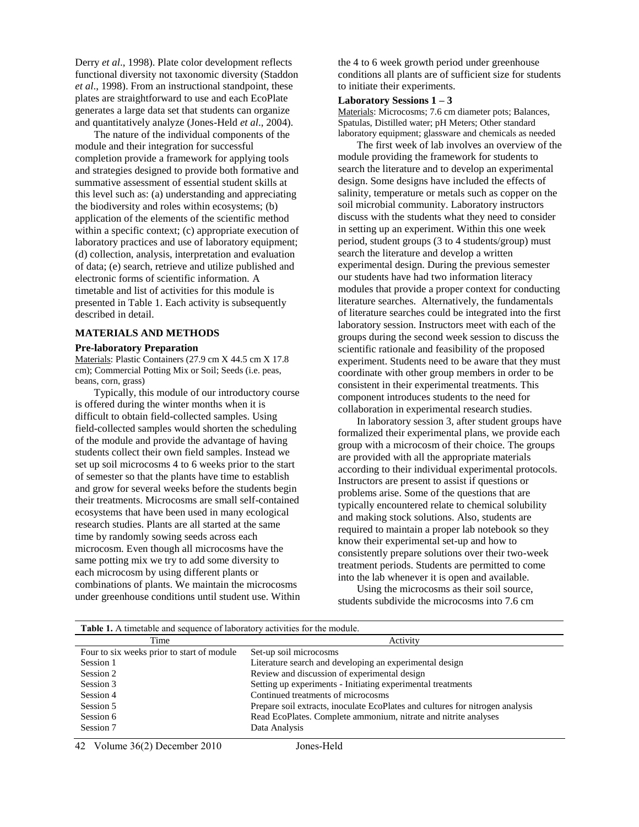Derry *et al*., 1998). Plate color development reflects functional diversity not taxonomic diversity (Staddon *et al*., 1998). From an instructional standpoint, these plates are straightforward to use and each EcoPlate generates a large data set that students can organize and quantitatively analyze (Jones-Held *et al*., 2004).

The nature of the individual components of the module and their integration for successful completion provide a framework for applying tools and strategies designed to provide both formative and summative assessment of essential student skills at this level such as: (a) understanding and appreciating the biodiversity and roles within ecosystems; (b) application of the elements of the scientific method within a specific context; (c) appropriate execution of laboratory practices and use of laboratory equipment; (d) collection, analysis, interpretation and evaluation of data; (e) search, retrieve and utilize published and electronic forms of scientific information. A timetable and list of activities for this module is presented in Table 1. Each activity is subsequently described in detail.

#### **MATERIALS AND METHODS**

#### **Pre-laboratory Preparation**

Materials: Plastic Containers (27.9 cm X 44.5 cm X 17.8 cm); Commercial Potting Mix or Soil; Seeds (i.e. peas, beans, corn, grass)

Typically, this module of our introductory course is offered during the winter months when it is difficult to obtain field-collected samples. Using field-collected samples would shorten the scheduling of the module and provide the advantage of having students collect their own field samples. Instead we set up soil microcosms 4 to 6 weeks prior to the start of semester so that the plants have time to establish and grow for several weeks before the students begin their treatments. Microcosms are small self-contained ecosystems that have been used in many ecological research studies. Plants are all started at the same time by randomly sowing seeds across each microcosm. Even though all microcosms have the same potting mix we try to add some diversity to each microcosm by using different plants or combinations of plants. We maintain the microcosms under greenhouse conditions until student use. Within the 4 to 6 week growth period under greenhouse conditions all plants are of sufficient size for students to initiate their experiments.

#### **Laboratory Sessions 1 – 3**

Materials: Microcosms; 7.6 cm diameter pots; Balances, Spatulas, Distilled water; pH Meters; Other standard laboratory equipment; glassware and chemicals as needed

The first week of lab involves an overview of the module providing the framework for students to search the literature and to develop an experimental design. Some designs have included the effects of salinity, temperature or metals such as copper on the soil microbial community. Laboratory instructors discuss with the students what they need to consider in setting up an experiment. Within this one week period, student groups (3 to 4 students/group) must search the literature and develop a written experimental design. During the previous semester our students have had two information literacy modules that provide a proper context for conducting literature searches. Alternatively, the fundamentals of literature searches could be integrated into the first laboratory session. Instructors meet with each of the groups during the second week session to discuss the scientific rationale and feasibility of the proposed experiment. Students need to be aware that they must coordinate with other group members in order to be consistent in their experimental treatments. This component introduces students to the need for collaboration in experimental research studies.

In laboratory session 3, after student groups have formalized their experimental plans, we provide each group with a microcosm of their choice. The groups are provided with all the appropriate materials according to their individual experimental protocols. Instructors are present to assist if questions or problems arise. Some of the questions that are typically encountered relate to chemical solubility and making stock solutions. Also, students are required to maintain a proper lab notebook so they know their experimental set-up and how to consistently prepare solutions over their two-week treatment periods. Students are permitted to come into the lab whenever it is open and available.

Using the microcosms as their soil source, students subdivide the microcosms into 7.6 cm

| <b>Table 1.</b> A timetable and sequence of laboratory activities for the module. |                                                                               |  |  |  |  |
|-----------------------------------------------------------------------------------|-------------------------------------------------------------------------------|--|--|--|--|
| Time                                                                              | Activity                                                                      |  |  |  |  |
| Four to six weeks prior to start of module                                        | Set-up soil microcosms                                                        |  |  |  |  |
| Session 1                                                                         | Literature search and developing an experimental design                       |  |  |  |  |
| Session 2                                                                         | Review and discussion of experimental design                                  |  |  |  |  |
| Session 3                                                                         | Setting up experiments - Initiating experimental treatments                   |  |  |  |  |
| Session 4                                                                         | Continued treatments of microcosms                                            |  |  |  |  |
| Session 5                                                                         | Prepare soil extracts, inoculate EcoPlates and cultures for nitrogen analysis |  |  |  |  |
| Session 6                                                                         | Read EcoPlates. Complete ammonium, nitrate and nitrite analyses               |  |  |  |  |
| Session 7                                                                         | Data Analysis                                                                 |  |  |  |  |
|                                                                                   |                                                                               |  |  |  |  |

42 Volume 36(2) December 2010 Jones-Held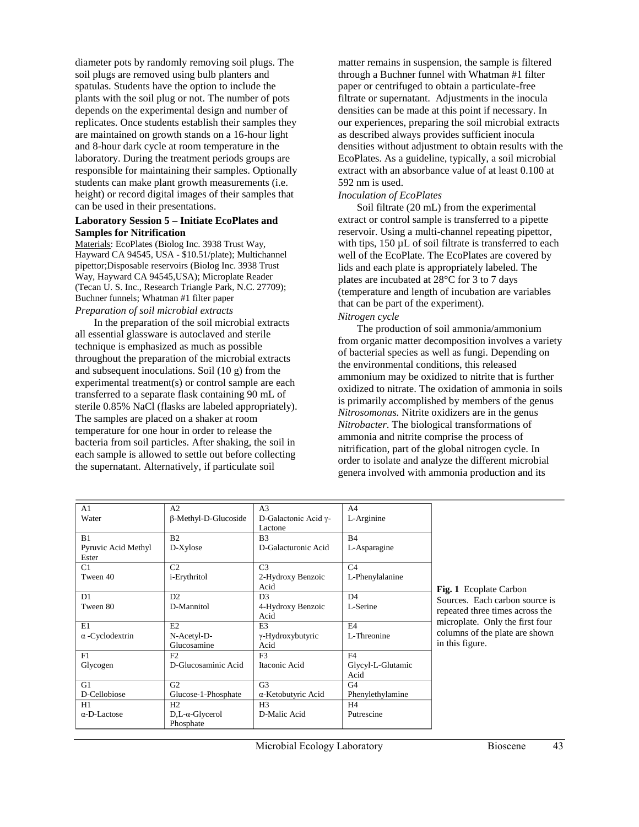diameter pots by randomly removing soil plugs. The soil plugs are removed using bulb planters and spatulas. Students have the option to include the plants with the soil plug or not. The number of pots depends on the experimental design and number of replicates. Once students establish their samples they are maintained on growth stands on a 16-hour light and 8-hour dark cycle at room temperature in the laboratory. During the treatment periods groups are responsible for maintaining their samples. Optionally students can make plant growth measurements (i.e. height) or record digital images of their samples that can be used in their presentations.

# **Laboratory Session 5 – Initiate EcoPlates and Samples for Nitrification**

Materials: EcoPlates (Biolog Inc. 3938 Trust Way, Hayward CA 94545, USA - \$10.51/plate); Multichannel pipettor;Disposable reservoirs (Biolog Inc. 3938 Trust Way, Hayward CA 94545,USA); Microplate Reader (Tecan U. S. Inc., Research Triangle Park, N.C. 27709); Buchner funnels; Whatman #1 filter paper *Preparation of soil microbial extracts*

In the preparation of the soil microbial extracts all essential glassware is autoclaved and sterile technique is emphasized as much as possible throughout the preparation of the microbial extracts and subsequent inoculations. Soil (10 g) from the experimental treatment(s) or control sample are each transferred to a separate flask containing 90 mL of sterile 0.85% NaCl (flasks are labeled appropriately). The samples are placed on a shaker at room temperature for one hour in order to release the bacteria from soil particles. After shaking, the soil in each sample is allowed to settle out before collecting the supernatant. Alternatively, if particulate soil

matter remains in suspension, the sample is filtered through a Buchner funnel with Whatman #1 filter paper or centrifuged to obtain a particulate-free filtrate or supernatant. Adjustments in the inocula densities can be made at this point if necessary. In our experiences, preparing the soil microbial extracts as described always provides sufficient inocula densities without adjustment to obtain results with the EcoPlates. As a guideline, typically, a soil microbial extract with an absorbance value of at least 0.100 at 592 nm is used.

#### *Inoculation of EcoPlates*

Soil filtrate (20 mL) from the experimental extract or control sample is transferred to a pipette reservoir. Using a multi-channel repeating pipettor, with tips, 150  $\mu$ L of soil filtrate is transferred to each well of the EcoPlate. The EcoPlates are covered by lids and each plate is appropriately labeled. The plates are incubated at 28°C for 3 to 7 days (temperature and length of incubation are variables that can be part of the experiment).

#### *Nitrogen cycle*

The production of soil ammonia/ammonium from organic matter decomposition involves a variety of bacterial species as well as fungi. Depending on the environmental conditions, this released ammonium may be oxidized to nitrite that is further oxidized to nitrate. The oxidation of ammonia in soils is primarily accomplished by members of the genus *Nitrosomonas.* Nitrite oxidizers are in the genus *Nitrobacter*. The biological transformations of ammonia and nitrite comprise the process of nitrification, part of the global nitrogen cycle. In order to isolate and analyze the different microbial genera involved with ammonia production and its

| A <sub>1</sub>         | A2                          | A <sub>3</sub>             | A4                |                                 |
|------------------------|-----------------------------|----------------------------|-------------------|---------------------------------|
| Water                  | $\beta$ -Methyl-D-Glucoside | D-Galactonic Acid γ-       | L-Arginine        |                                 |
|                        |                             | Lactone                    |                   |                                 |
| B1                     | B <sub>2</sub>              | B <sub>3</sub>             | B4                |                                 |
| Pyruvic Acid Methyl    | D-Xylose                    | D-Galacturonic Acid        | L-Asparagine      |                                 |
| Ester                  |                             |                            |                   |                                 |
| C1                     | C <sub>2</sub>              | C <sub>3</sub>             | C4                |                                 |
| Tween 40               | <i>i</i> -Erythritol        | 2-Hydroxy Benzoic          | L-Phenylalanine   |                                 |
|                        |                             | Acid                       |                   | <b>Fig. 1</b> Ecoplate Carbon   |
| D1                     | D2                          | D <sub>3</sub>             | D <sub>4</sub>    | Sources. Each carbon source is  |
| Tween 80               | D-Mannitol                  | 4-Hydroxy Benzoic          | L-Serine          | repeated three times across the |
|                        |                             | Acid                       |                   |                                 |
| E1                     | E2                          | E <sub>3</sub>             | F <sub>4</sub>    | microplate. Only the first four |
| $\alpha$ -Cyclodextrin | N-Acetyl-D-                 | $\gamma$ -Hydroxybutyric   | L-Threonine       | columns of the plate are shown  |
|                        | Glucosamine                 | Acid                       |                   | in this figure.                 |
| F1                     | F2                          | F <sub>3</sub>             | F <sub>4</sub>    |                                 |
| Glycogen               | D-Glucosaminic Acid         | Itaconic Acid              | Glycyl-L-Glutamic |                                 |
|                        |                             |                            | Acid              |                                 |
| G1                     | G <sub>2</sub>              | G <sub>3</sub>             | G <sub>4</sub>    |                                 |
| D-Cellobiose           | Glucose-1-Phosphate         | $\alpha$ -Ketobutyric Acid | Phenylethylamine  |                                 |
| H1                     | H2                          | H <sub>3</sub>             | H4                |                                 |
| $\alpha$ -D-Lactose    | $D,L-\alpha$ -Glycerol      | D-Malic Acid               | Putrescine        |                                 |
|                        | Phosphate                   |                            |                   |                                 |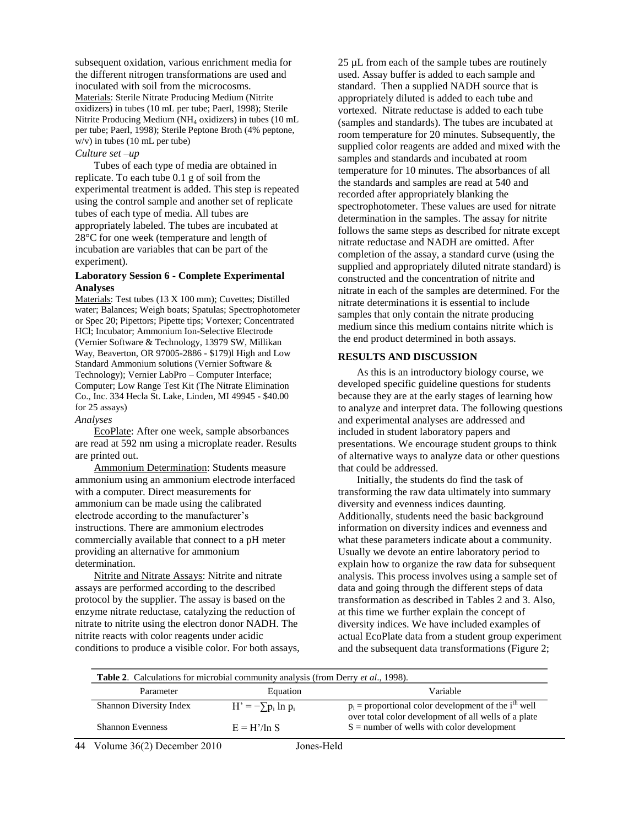subsequent oxidation, various enrichment media for the different nitrogen transformations are used and inoculated with soil from the microcosms. Materials: Sterile Nitrate Producing Medium (Nitrite oxidizers) in tubes (10 mL per tube; Paerl, 1998); Sterile Nitrite Producing Medium (NH<sup>4</sup> oxidizers) in tubes (10 mL per tube; Paerl, 1998); Sterile Peptone Broth (4% peptone, w/v) in tubes (10 mL per tube)

#### *Culture set –up*

Tubes of each type of media are obtained in replicate. To each tube 0.1 g of soil from the experimental treatment is added. This step is repeated using the control sample and another set of replicate tubes of each type of media. All tubes are appropriately labeled. The tubes are incubated at 28°C for one week (temperature and length of incubation are variables that can be part of the experiment).

#### **Laboratory Session 6 - Complete Experimental Analyses**

Materials: Test tubes (13 X 100 mm); Cuvettes; Distilled water; Balances; Weigh boats; Spatulas; Spectrophotometer or Spec 20; Pipettors; Pipette tips; Vortexer; Concentrated HCl; Incubator; Ammonium Ion-Selective Electrode (Vernier Software & Technology, 13979 SW, Millikan Way, Beaverton, OR 97005-2886 - \$179)l High and Low Standard Ammonium solutions (Vernier Software & Technology); Vernier LabPro – Computer Interface; Computer; Low Range Test Kit (The Nitrate Elimination Co., Inc. 334 Hecla St. Lake, Linden, MI 49945 - \$40.00 for 25 assays)

#### *Analyses*

EcoPlate: After one week, sample absorbances are read at 592 nm using a microplate reader. Results are printed out.

Ammonium Determination: Students measure ammonium using an ammonium electrode interfaced with a computer. Direct measurements for ammonium can be made using the calibrated electrode according to the manufacturer's instructions. There are ammonium electrodes commercially available that connect to a pH meter providing an alternative for ammonium determination.

Nitrite and Nitrate Assays: Nitrite and nitrate assays are performed according to the described protocol by the supplier. The assay is based on the enzyme nitrate reductase, catalyzing the reduction of nitrate to nitrite using the electron donor NADH. The nitrite reacts with color reagents under acidic conditions to produce a visible color. For both assays, 25 µL from each of the sample tubes are routinely used. Assay buffer is added to each sample and standard. Then a supplied NADH source that is appropriately diluted is added to each tube and vortexed. Nitrate reductase is added to each tube (samples and standards). The tubes are incubated at room temperature for 20 minutes. Subsequently, the supplied color reagents are added and mixed with the samples and standards and incubated at room temperature for 10 minutes. The absorbances of all the standards and samples are read at 540 and recorded after appropriately blanking the spectrophotometer. These values are used for nitrate determination in the samples. The assay for nitrite follows the same steps as described for nitrate except nitrate reductase and NADH are omitted. After completion of the assay, a standard curve (using the supplied and appropriately diluted nitrate standard) is constructed and the concentration of nitrite and nitrate in each of the samples are determined. For the nitrate determinations it is essential to include samples that only contain the nitrate producing medium since this medium contains nitrite which is the end product determined in both assays.

#### **RESULTS AND DISCUSSION**

As this is an introductory biology course, we developed specific guideline questions for students because they are at the early stages of learning how to analyze and interpret data. The following questions and experimental analyses are addressed and included in student laboratory papers and presentations. We encourage student groups to think of alternative ways to analyze data or other questions that could be addressed.

Initially, the students do find the task of transforming the raw data ultimately into summary diversity and evenness indices daunting. Additionally, students need the basic background information on diversity indices and evenness and what these parameters indicate about a community. Usually we devote an entire laboratory period to explain how to organize the raw data for subsequent analysis. This process involves using a sample set of data and going through the different steps of data transformation as described in Tables 2 and 3. Also, at this time we further explain the concept of diversity indices. We have included examples of actual EcoPlate data from a student group experiment and the subsequent data transformations (Figure 2;

| <b>Table 2.</b> Calculations for microbial community analysis (from Derry et al., 1998).                                                                     |                                       |                                                                                                                            |  |  |  |
|--------------------------------------------------------------------------------------------------------------------------------------------------------------|---------------------------------------|----------------------------------------------------------------------------------------------------------------------------|--|--|--|
| Parameter                                                                                                                                                    | Equation                              | Variable                                                                                                                   |  |  |  |
| <b>Shannon Diversity Index</b>                                                                                                                               | $H' = -\sum p_i \ln p_i$              | $p_i$ = proportional color development of the i <sup>th</sup> well<br>over total color development of all wells of a plate |  |  |  |
| <b>Shannon Evenness</b>                                                                                                                                      | $E = H'/ln S$                         | $S =$ number of wells with color development                                                                               |  |  |  |
| $\mathbf{V} \cdot \mathbf{1} \dots \cdot \mathbf{2} \mathcal{L}(\mathbf{2})$ $\mathbf{D} \dots \mathbf{1} \dots \mathbf{2} \mathbf{0} \mathbf{1} \mathbf{0}$ | $T_{\rm{max}} = T T_{\rm{max}} + 1.1$ |                                                                                                                            |  |  |  |

44 Volume 36(2) December 2010 Jones-Held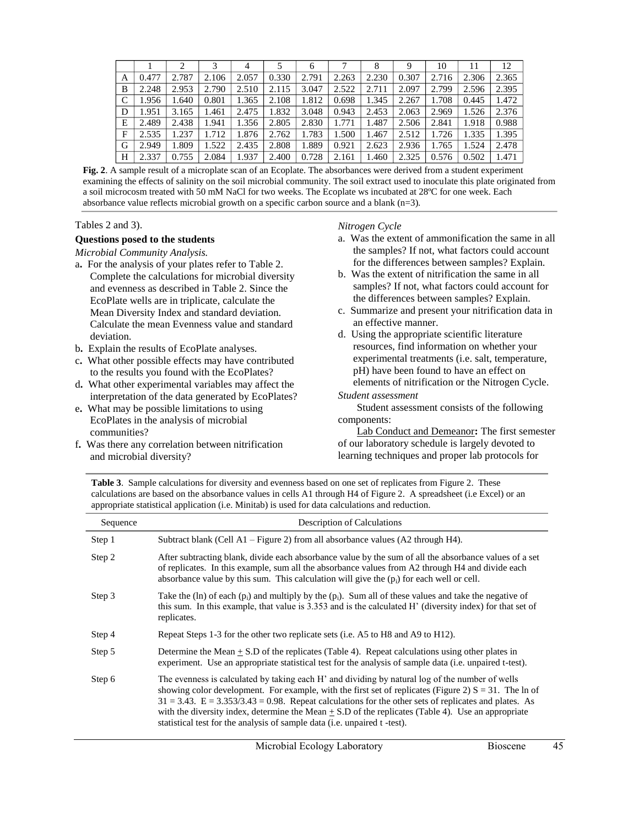|            |       |       |       | 4     |       | 6     |       | 8     | 9     | 10    | 11    | 12    |
|------------|-------|-------|-------|-------|-------|-------|-------|-------|-------|-------|-------|-------|
| А          | 0.477 | 2.787 | 2.106 | 2.057 | 0.330 | 2.791 | 2.263 | 2.230 | 0.307 | 2.716 | 2.306 | 2.365 |
| B          | 2.248 | 2.953 | 2.790 | 2.510 | 2.115 | 3.047 | 2.522 | 2.711 | 2.097 | 2.799 | 2.596 | 2.395 |
| $\sqrt{ }$ | 1.956 | 1.640 | 0.801 | 1.365 | 2.108 | 1.812 | 0.698 | 1.345 | 2.267 | 1.708 | 0.445 | 1.472 |
| D          | 1.951 | 3.165 | .461  | 2.475 | 1.832 | 3.048 | 0.943 | 2.453 | 2.063 | 2.969 | 1.526 | 2.376 |
| Е          | 2.489 | 2.438 | .941  | 1.356 | 2.805 | 2.830 | 1.771 | 1.487 | 2.506 | 2.841 | 1.918 | 0.988 |
| F          | 2.535 | .237  | .712  | 1.876 | 2.762 | 1.783 | 1.500 | 1.467 | 2.512 | .726  | 1.335 | 1.395 |
| G          | 2.949 | 1.809 | .522  | 2.435 | 2.808 | 1.889 | 0.921 | 2.623 | 2.936 | 1.765 | 1.524 | 2.478 |
| Н          | 2.337 | 0.755 | 2.084 | 1.937 | 2.400 | 0.728 | 2.161 | 1.460 | 2.325 | 0.576 | 0.502 | 1.471 |

**Fig. 2**. A sample result of a microplate scan of an Ecoplate. The absorbances were derived from a student experiment examining the effects of salinity on the soil microbial community. The soil extract used to inoculate this plate originated from a soil microcosm treated with 50 mM NaCl for two weeks. The Ecoplate ws incubated at 28ºC for one week. Each absorbance value reflects microbial growth on a specific carbon source and a blank (n=3).

### Tables 2 and 3).

## **Questions posed to the students**

*Microbial Community Analysis.* 

- a**.** For the analysis of your plates refer to Table 2. Complete the calculations for microbial diversity and evenness as described in Table 2. Since the EcoPlate wells are in triplicate, calculate the Mean Diversity Index and standard deviation. Calculate the mean Evenness value and standard deviation.
- b**.** Explain the results of EcoPlate analyses.
- c**.** What other possible effects may have contributed to the results you found with the EcoPlates?
- d**.** What other experimental variables may affect the interpretation of the data generated by EcoPlates?
- e**.** What may be possible limitations to using EcoPlates in the analysis of microbial communities?
- f**.** Was there any correlation between nitrification and microbial diversity?

### *Nitrogen Cycle*

- a. Was the extent of ammonification the same in all the samples? If not, what factors could account for the differences between samples? Explain.
- b. Was the extent of nitrification the same in all samples? If not, what factors could account for the differences between samples? Explain.
- c. Summarize and present your nitrification data in an effective manner.
- d. Using the appropriate scientific literature resources, find information on whether your experimental treatments (i.e. salt, temperature, pH) have been found to have an effect on elements of nitrification or the Nitrogen Cycle.

#### *Student assessment*

Student assessment consists of the following components:

Lab Conduct and Demeanor**:** The first semester of our laboratory schedule is largely devoted to learning techniques and proper lab protocols for

**Table 3**. Sample calculations for diversity and evenness based on one set of replicates from Figure 2. These calculations are based on the absorbance values in cells A1 through H4 of Figure 2. A spreadsheet (i.e Excel) or an appropriate statistical application (i.e. Minitab) is used for data calculations and reduction.

| Sequence | <b>Description of Calculations</b>                                                                                                                                                                                                                                                                                                                                                                                                                                                                                |
|----------|-------------------------------------------------------------------------------------------------------------------------------------------------------------------------------------------------------------------------------------------------------------------------------------------------------------------------------------------------------------------------------------------------------------------------------------------------------------------------------------------------------------------|
| Step 1   | Subtract blank (Cell A1 – Figure 2) from all absorbance values (A2 through H4).                                                                                                                                                                                                                                                                                                                                                                                                                                   |
| Step 2   | After subtracting blank, divide each absorbance value by the sum of all the absorbance values of a set<br>of replicates. In this example, sum all the absorbance values from A2 through H4 and divide each<br>absorbance value by this sum. This calculation will give the $(p_i)$ for each well or cell.                                                                                                                                                                                                         |
| Step 3   | Take the (ln) of each ( $p_i$ ) and multiply by the ( $p_i$ ). Sum all of these values and take the negative of<br>this sum. In this example, that value is 3.353 and is the calculated H' (diversity index) for that set of<br>replicates.                                                                                                                                                                                                                                                                       |
| Step 4   | Repeat Steps 1-3 for the other two replicate sets (i.e. A5 to H8 and A9 to H12).                                                                                                                                                                                                                                                                                                                                                                                                                                  |
| Step 5   | Determine the Mean $+$ S.D of the replicates (Table 4). Repeat calculations using other plates in<br>experiment. Use an appropriate statistical test for the analysis of sample data (i.e. unpaired t-test).                                                                                                                                                                                                                                                                                                      |
| Step 6   | The evenness is calculated by taking each H' and dividing by natural log of the number of wells<br>showing color development. For example, with the first set of replicates (Figure 2) $S = 31$ . The ln of<br>$31 = 3.43$ . $E = 3.353/3.43 = 0.98$ . Repeat calculations for the other sets of replicates and plates. As<br>with the diversity index, determine the Mean $\pm$ S.D of the replicates (Table 4). Use an appropriate<br>statistical test for the analysis of sample data (i.e. unpaired t -test). |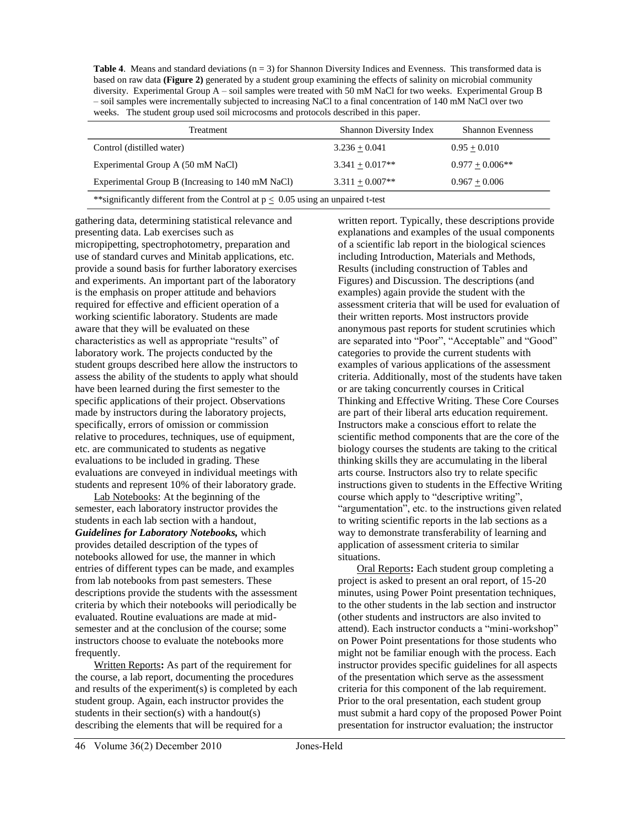| <b>Table 4.</b> Means and standard deviations $(n = 3)$ for Shannon Diversity Indices and Evenness. This transformed data is |
|------------------------------------------------------------------------------------------------------------------------------|
| based on raw data (Figure 2) generated by a student group examining the effects of salinity on microbial community           |
| diversity. Experimental Group $A - \text{soil}$ samples were treated with 50 mM NaCl for two weeks. Experimental Group B     |
| - soil samples were incrementally subjected to increasing NaCl to a final concentration of 140 mM NaCl over two              |
| weeks. The student group used soil microcosms and protocols described in this paper.                                         |

| Treatment                                                                                | <b>Shannon Diversity Index</b> | <b>Shannon Evenness</b> |  |  |  |
|------------------------------------------------------------------------------------------|--------------------------------|-------------------------|--|--|--|
| Control (distilled water)                                                                | $3.236 + 0.041$                | $0.95 + 0.010$          |  |  |  |
| Experimental Group A (50 mM NaCl)                                                        | $3.341 + 0.017**$              | $0.977 + 0.006**$       |  |  |  |
| Experimental Group B (Increasing to 140 mM NaCl)<br>$3.311 + 0.007**$<br>$0.967 + 0.006$ |                                |                         |  |  |  |
| **significantly different from the Control at $p \le 0.05$ using an unpaired t-test      |                                |                         |  |  |  |

gathering data, determining statistical relevance and presenting data. Lab exercises such as micropipetting, spectrophotometry, preparation and use of standard curves and Minitab applications, etc. provide a sound basis for further laboratory exercises and experiments. An important part of the laboratory is the emphasis on proper attitude and behaviors required for effective and efficient operation of a working scientific laboratory. Students are made aware that they will be evaluated on these characteristics as well as appropriate "results" of laboratory work. The projects conducted by the student groups described here allow the instructors to assess the ability of the students to apply what should have been learned during the first semester to the specific applications of their project. Observations made by instructors during the laboratory projects, specifically, errors of omission or commission relative to procedures, techniques, use of equipment, etc. are communicated to students as negative evaluations to be included in grading. These evaluations are conveyed in individual meetings with students and represent 10% of their laboratory grade.

Lab Notebooks: At the beginning of the semester, each laboratory instructor provides the students in each lab section with a handout, *Guidelines for Laboratory Notebooks,* which provides detailed description of the types of notebooks allowed for use, the manner in which entries of different types can be made, and examples from lab notebooks from past semesters. These descriptions provide the students with the assessment criteria by which their notebooks will periodically be evaluated. Routine evaluations are made at midsemester and at the conclusion of the course; some instructors choose to evaluate the notebooks more frequently.

Written Reports**:** As part of the requirement for the course, a lab report, documenting the procedures and results of the experiment(s) is completed by each student group. Again, each instructor provides the students in their section(s) with a handout(s) describing the elements that will be required for a

written report. Typically, these descriptions provide explanations and examples of the usual components of a scientific lab report in the biological sciences including Introduction, Materials and Methods, Results (including construction of Tables and Figures) and Discussion. The descriptions (and examples) again provide the student with the assessment criteria that will be used for evaluation of their written reports. Most instructors provide anonymous past reports for student scrutinies which are separated into "Poor", "Acceptable" and "Good" categories to provide the current students with examples of various applications of the assessment criteria. Additionally, most of the students have taken or are taking concurrently courses in Critical Thinking and Effective Writing. These Core Courses are part of their liberal arts education requirement. Instructors make a conscious effort to relate the scientific method components that are the core of the biology courses the students are taking to the critical thinking skills they are accumulating in the liberal arts course. Instructors also try to relate specific instructions given to students in the Effective Writing course which apply to "descriptive writing", "argumentation", etc. to the instructions given related to writing scientific reports in the lab sections as a way to demonstrate transferability of learning and application of assessment criteria to similar situations.

Oral Reports**:** Each student group completing a project is asked to present an oral report, of 15-20 minutes, using Power Point presentation techniques, to the other students in the lab section and instructor (other students and instructors are also invited to attend). Each instructor conducts a "mini-workshop" on Power Point presentations for those students who might not be familiar enough with the process. Each instructor provides specific guidelines for all aspects of the presentation which serve as the assessment criteria for this component of the lab requirement. Prior to the oral presentation, each student group must submit a hard copy of the proposed Power Point presentation for instructor evaluation; the instructor